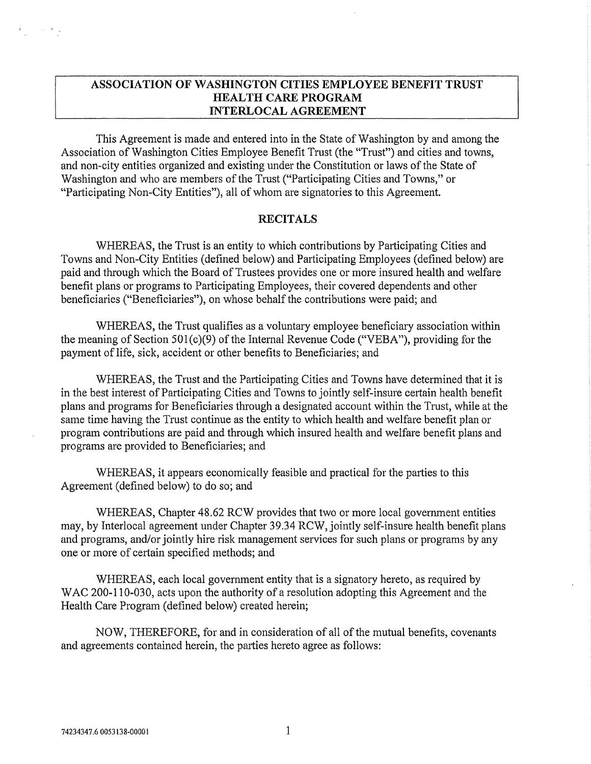# **ASSOCIATION OF WASHINGTON CITIES EMPLOYEE BENEFIT TRUST HEALTH CARE PROGRAM INTERLOCAL AGREEMENT**

This Agreement is made and entered into in the State of Washington by and among the Association of Washington Cities Employee Benefit Trust (the "Trust") and cities and towns, and non-city entities organized and existing under the Constitution or laws of the State of Washington and who are members of the Trust ("Participating Cities and Towns," or "Participating Non-City Entities"), all of whom are signatories to this Agreement.

# **RECITALS**

WHEREAS, the Trust is an entity to which contributions by Participating Cities and Towns and Non-City Entities (defined below) and Participating Employees (defined below) are paid and through which the Board of Trustees provides one or more insured health and welfare benefit plans or programs to Participating Employees, their covered dependents and other beneficiaries ("Beneficiaries"), on whose behalf the contributions were paid; and

WHEREAS, the Trust qualifies as a voluntary employee beneficiary association within the meaning of Section  $501(c)(9)$  of the Internal Revenue Code ("VEBA"), providing for the payment of life, sick, accident or other benefits to Beneficiaries; and

WHEREAS, the Trust and the Participating Cities and Towns have determined that it is in the best interest of Participating Cities and Towns to jointly self-insure certain health benefit plans and programs for Beneficiaries through a designated account within the Trust, while at the same time having the Trust continue as the entity to which health and welfare benefit plan or program contributions are paid and through which insured health and welfare benefit plans and programs are provided to Beneficiaries; and

WHEREAS, it appears economically feasible and practical for the parties to this Agreement (defined below) to do so; and

WHEREAS, Chapter 48.62 RCW provides that two or more local government entities may, by Interlocal agreement under Chapter 39.34 RCW, jointly self-insure health benefit plans and programs, and/or jointly hire risk management services for such plans or programs by any one or more of certain specified methods; and

WHEREAS, each local government entity that is a signatory hereto, as required by WAC 200-110-030, acts upon the authority of a resolution adopting this Agreement and the Health Care Program (defined below) created herein;

NOW, THEREFORE, for and in consideration of all of the mutual benefits, covenants and agreements contained herein, the parties hereto agree as follows:

 $\mathsf{P}_{\mathsf{G}} = \left\{ \begin{array}{ll} \mathsf{G} & \mathsf{G} & \mathsf{G} \\ \mathsf{G} & \mathsf{G} & \mathsf{G} \end{array} \right\}$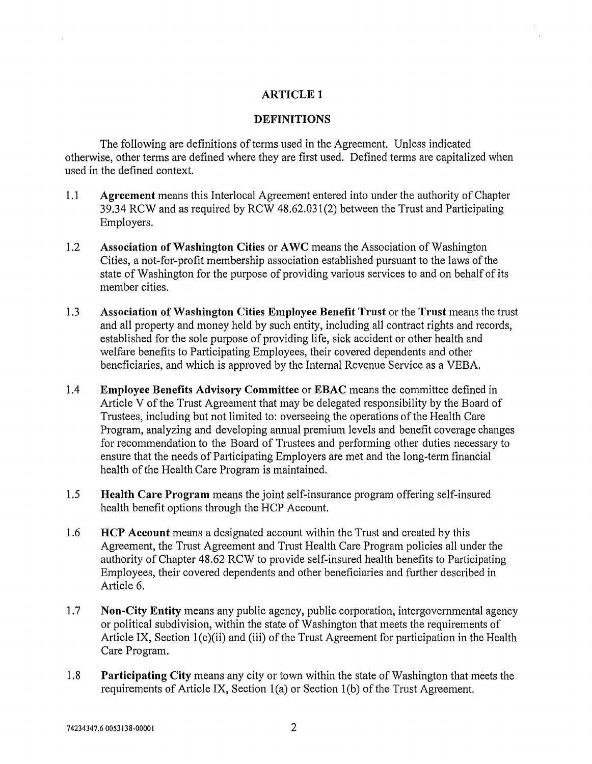#### **DEFINITIONS**

The following are definitions of terms used in the Agreement. Unless indicated otherwise, other terms are defined where they are first used. Defined terms are capitalized when used in the defined context.

- 1.1 **Agreement** means this Interlocal Agreement entered into under the authority of Chapter 39.34 RCW and as required by RCW 48.62.031(2) between the Trust and Participating Employers.
- 1.2 **Association of Washington Cities or A WC** means the Association of Washington Cities, a not-for-profit membership association established pursuant to the laws of the state of Washington for the purpose of providing various services to and on behalf of its member cities.
- 1.3 **Association of Washington Cities Employee Benefit Trust** or the **Trust** means the trust and all property and money held by such entity, including all contract rights and records, established for the sole purpose of providing life, sick accident or other health and welfare benefits to Participating Employees, their covered dependents and other beneficiaries, and which is approved by the Internal Revenue Service as a VEBA.
- **1.4 Employee Benefits Advisory Committee or EBAC** means the committee defined in Article V of the Trust Agreement that may be delegated responsibility by the Board of Trustees, including but not limited to: overseeing the operations of the Health Care Program, analyzing and developing annual premium levels and benefit coverage changes for recommendation to the Board of Trustees and performing other duties necessary to ensure that the needs of Participating Employers are met and the long-term financial health of the Health Care Program is maintained.
- 1.5 **Health Care Program** means the joint self-insurance program offering self-insured health benefit options through the HCP Account.
- 1.6 **HCP Account** means a designated account within the Trust and created by this Agreement, the Trust Agreement and Trust Health Care Program policies all under the authority of Chapter 48.62 RCW to provide self-insured health benefits to Participating Employees, their covered dependents and other beneficiaries and further described in Article 6.
- 1.7 **Non-City Entity** means any public agency, public corporation, intergovernmental agency or political subdivision, within the state of Washington that meets the requirements of Article IX, Section 1(c)(ii) and (iii) of the Trust Agreement for participation in the Health Care Program.
- 1.8 **Participating City** means any city or town within the state of Washington that meets the requirements of Article IX, Section l(a) or Section l(b) of the Trust Agreement.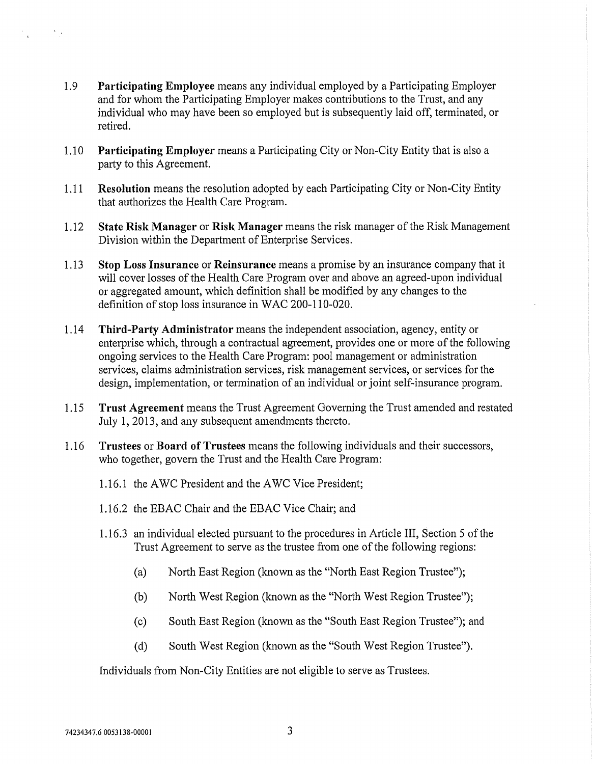- 1.9 **Participating Employee** means any individual employed by a Participating Employer and for whom the Participating Employer makes contributions to the Trust, and any individual who may have been so employed but is subsequently laid off, terminated, or retired.
- 1.10 **Participating Employer** means a Participating City or Non-City Entity that is also a party to this Agreement.
- 1.11 **Resolution** means the resolution adopted by each Participating City or Non-City Entity that authorizes the Health Care Program.
- 1.12 **State Risk Manager or Risk Manager** means the risk manager of the Risk Management Division within the Department of Enterprise Services.
- 1.13 **Stop Loss Insurance or Reinsurance** means a promise by an insurance company that it will cover losses of the Health Care Program over and above an agreed-upon individual or aggregated amount, which definition shall be modified by any changes to the definition of stop loss insurance in WAC 200-110-020.
- 1.14 **Third-Party Administrator** means the independent association, agency, entity or enterprise which, through a contractual agreement, provides one or more of the following ongoing services to the Health Care Program: pool management or administration services, claims administration services, risk management services, or services for the design, implementation, or termination of an individual or joint self-insurance program.
- 1.15 **Trust Agreement** means the Trust Agreement Governing the Trust amended and restated July 1, 2013, and any subsequent amendments thereto.
- 1.16 **Trustees or Board of Trustees** means the following individuals and their successors, who together, govern the Trust and the Health Care Program:
	- 1.16.1 the A WC President and the A WC Vice President;
	- 1.16.2 the EBAC Chair and the EBAC Vice Chair; and
	- 1.16 .3 an individual elected pursuant to the procedures in Article III, Section 5 of the Trust Agreement to serve as the trustee from one of the following regions:
		- (a) North East Region (known as the "North East Region Trustee");
		- (b) North West Region (known as the "North West Region Trustee");
		- ( c) South East Region (known as the "South East Region Trustee"); and
		- (d) South West Region (known as the "South West Region Trustee").

Individuals from Non-City Entities are not eligible to serve as Trustees.

 $\sim 20\,\mathrm{yr}$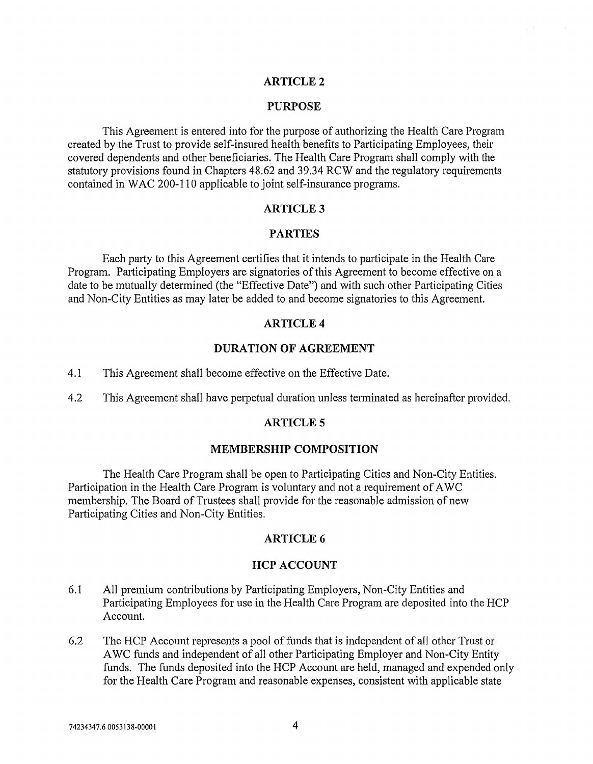#### **PURPOSE**

This Agreement is entered into for the purpose of authorizing the Health Care Program created by the Trust to provide self-insured health benefits to Participating Employees, their covered dependents and other beneficiaries. The Health Care Program shall comply with the statutory provisions found in Chapters 48.62 and 39.34 RCW and the regulatory requirements contained in WAC 200-110 applicable to joint self-insurance programs.

#### **ARTICLE3**

#### **PARTIES**

Each party to this Agreement certifies that it intends to participate in the Health Care Program. Participating Employers are signatories of this Agreement to become effective on a date to be mutually determined (the "Effective Date") and with such other Participating Cities and Non-City Entities as may later be added to and become signatories to this Agreement.

## **ARTICLE4**

### **DURATION OF AGREEMENT**

- 4.1 This Agreement shall become effective on the Effective Date.
- 4.2 This Agreement shall have perpetual duration unless terminated as hereinafter provided.

### **ARTICLES**

### **MEMBERSHIP COMPOSITION**

The Health Care Program shall be open to Participating Cities and Non-City Entities. Participation in the Health Care Program is voluntary and not a requirement of AWC membership. The Board of Trustees shall provide for the reasonable admission of new Participating Cities and Non-City Entities.

## **ARTICLE 6**

### **HCP ACCOUNT**

- 6.1 All premium contributions by Participating Employers, Non-City Entities and Participating Employees for use in the Health Care Program are deposited into the HCP Account.
- 6.2 The HCP Account represents a pool of funds that is independent of all other Trust or AWC funds and independent of all other Participating Employer and Non-City Entity funds. The funds deposited into the HCP Account are held, managed and expended only for the Health Care Program and reasonable expenses, consistent with applicable state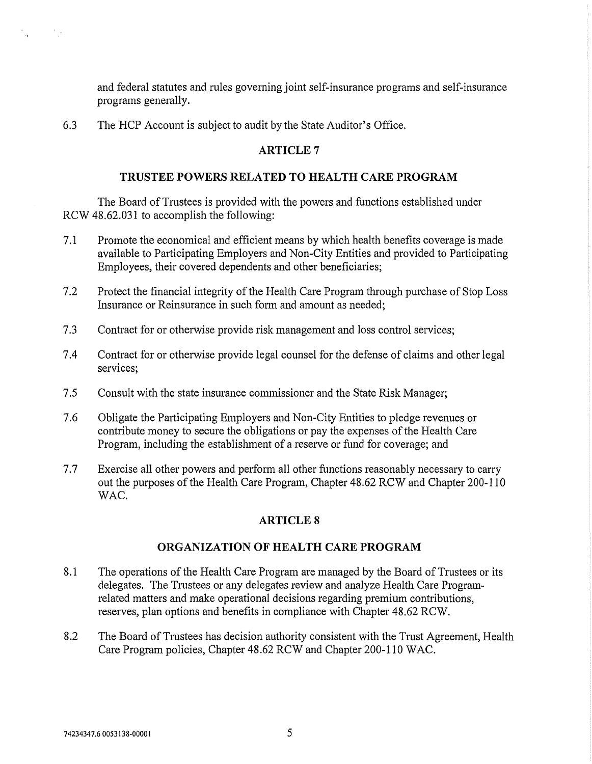and federal statutes and rules governing joint self-insurance programs and self-insurance programs generally.

6.3 The HCP Account is subject to audit by the State Auditor's Office.

## **ARTICLE7**

## **TRUSTEE POWERS RELATED TO HEALTH CARE PROGRAM**

The Board of Trustees is provided with the powers and functions established under RCW 48.62.031 to accomplish the following:

- 7 .1 Promote the economical and efficient means by which health benefits coverage is made available to Participating Employers and Non-City Entities and provided to Participating Employees, their covered dependents and other beneficiaries;
- 7.2 Protect the financial integrity of the Health Care Program through purchase of Stop Loss Insurance or Reinsurance in such form and amount as needed;
- 7 .3 Contract for or otherwise provide risk management and loss control services;
- 7.4 Contract for or otherwise provide legal counsel for the defense of claims and other legal services;
- 7.5 Consult with the state insurance commissioner and the State Risk Manager;
- 7.6 Obligate the Participating Employers and Non-City Entities to pledge revenues or contribute money to secure the obligations or pay the expenses of the Health Care Program, including the establishment of a reserve or fund for coverage; and
- 7.7 Exercise all other powers and perform all other functions reasonably necessary to carry out the purposes of the Health Care Program, Chapter 48.62 RCW and Chapter 200-110 WAC.

## **ARTICLES**

## **ORGANIZATION OF HEALTH CARE PROGRAM**

- 8.1 The operations of the Health Care Program are managed by the Board of Trustees or its delegates. The Trustees or any delegates review and analyze Health Care Programrelated matters and make operational decisions regarding premium contributions, reserves, plan options and benefits in compliance with Chapter 48.62 RCW.
- 8.2 The Board of Trustees has decision authority consistent with the Trust Agreement, Health Care Program policies, Chapter 48.62 RCW and Chapter 200-110 WAC.

 $\sum_{\mathbf{q} \in \mathcal{M}_\mathbf{q}} \mathcal{L}_{\mathbf{q}}(\mathbf{q}) \mathcal{L}_{\mathbf{q}}(\mathbf{q}) = \sum_{\mathbf{q} \in \mathcal{M}_\mathbf{q}} \mathcal{L}_{\mathbf{q}}(\mathbf{q})$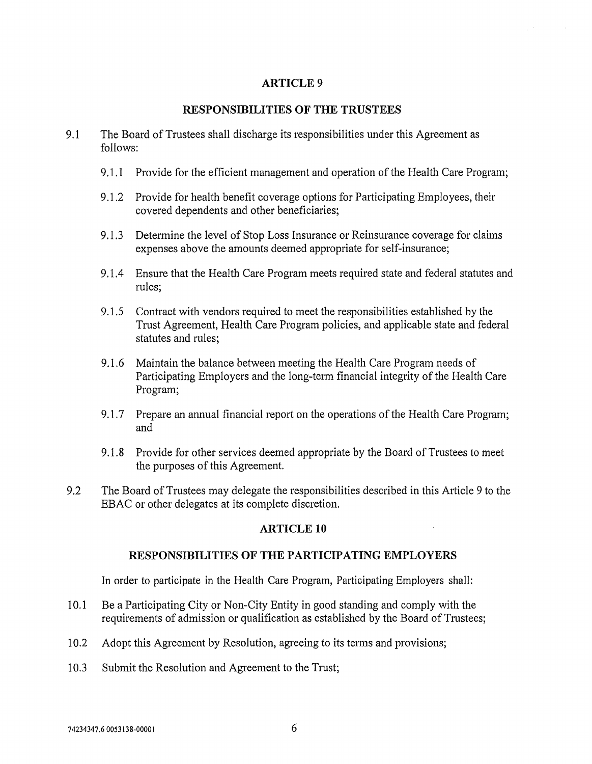# **RESPONSIBILITIES OF THE TRUSTEES**

- 9 .1 The Board of Trustees shall discharge its responsibilities under this Agreement as follows:
	- 9.1.1 Provide for the efficient management and operation of the Health Care Program;
	- 9 .1.2 Provide for health benefit coverage options for Participating Employees, their covered dependents and other beneficiaries;
	- 9.1.3 Determine the level of Stop Loss Insurance or Reinsurance coverage for claims expenses above the amounts deemed appropriate for self-insurance;
	- 9 .1.4 Ensure that the Health Care Program meets required state and federal statutes and rules;
	- 9 .1.5 Contract with vendors required to meet the responsibilities established by the Trust Agreement, Health Care Program policies, and applicable state and federal statutes and rules;
	- 9.1.6 Maintain the balance between meeting the Health Care Program needs of Participating Employers and the long-term financial integrity of the Health Care Program;
	- 9.1.7 Prepare an annual financial report on the operations of the Health Care Program; and
	- 9.1.8 Provide for other services deemed appropriate by the Board of Trustees to meet the purposes of this Agreement.
- 9.2 The Board of Trustees may delegate the responsibilities described in this Article 9 to the EBAC or other delegates at its complete discretion.

# **ARTICLE 10**

## **RESPONSIBILITIES OF THE PARTICIPATING EMPLOYERS**

In order to participate in the Health Care Program, Participating Employers shall:

- 10.1 Be a Participating City or Non-City Entity in good standing and comply with the requirements of admission or qualification as established by the Board of Trustees;
- 10.2 Adopt this Agreement by Resolution, agreeing to its terms and provisions;
- 10.3 Submit the Resolution and Agreement to the Trust;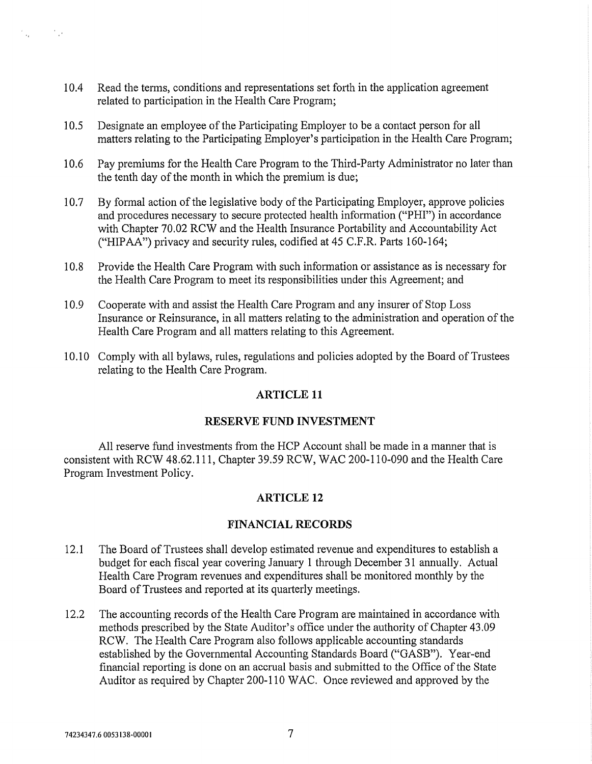- 10.4 Read the terms, conditions and representations set forth in the application agreement related to participation in the Health Care Program;
- 10.5 Designate an employee of the Participating Employer to be a contact person for all matters relating to the Participating Employer's participation in the Health Care Program;
- 10.6 Pay premiums for the Health Care Program to the Third-Party Administrator no later than the tenth day of the month in which the premium is due;
- 10.7 By formal action of the legislative body of the Participating Employer, approve policies and procedures necessary to secure protected health information ("PHI") in accordance with Chapter 70.02 RCW and the Health Insurance Portability and Accountability Act ("HIPAA") privacy and security rules, codified at 45 C.F.R. Parts 160-164;
- 10.8 Provide the Health Care Program with such information or assistance as is necessary for the Health Care Program to meet its responsibilities under this Agreement; and
- 10.9 Cooperate with and assist the Health Care Program and any insurer of Stop Loss Insurance or Reinsurance, in all matters relating to the administration and operation of the Health Care Program and all matters relating to this Agreement.
- 10.10 Comply with all bylaws, rules, regulations and policies adopted by the Board of Trustees relating to the Health Care Program.

## **RESERVE FUND INVESTMENT**

All reserve fund investments from the HCP Account shall be made in a manner that is consistent with RCW 48.62.111, Chapter 39.59 RCW, WAC 200-110-090 and the Health Care Program Investment Policy.

## **ARTICLE 12**

## **FINANCIAL RECORDS**

- 12.1 The Board of Trustees shall develop estimated revenue and expenditures to establish a budget for each fiscal year covering January 1 through December 31 annually. Actual Health Care Program revenues and expenditures shall be monitored monthly by the Board of Trustees and reported at its quarterly meetings.
- 12.2 The accounting records of the Health Care Program are maintained in accordance with methods prescribed by the State Auditor's office under the authority of Chapter 43 .09 RCW. The Health Care Program also follows applicable accounting standards established by the Governmental Accounting Standards Board ("GASB"). Year-end financial reporting is done on an accrual basis and submitted to the Office of the State Auditor as required by Chapter 200-110 WAC. Once reviewed and approved by the

 $\mathcal{O}_{\mathbf{q}}$  .

 $\sim 2\, \mu$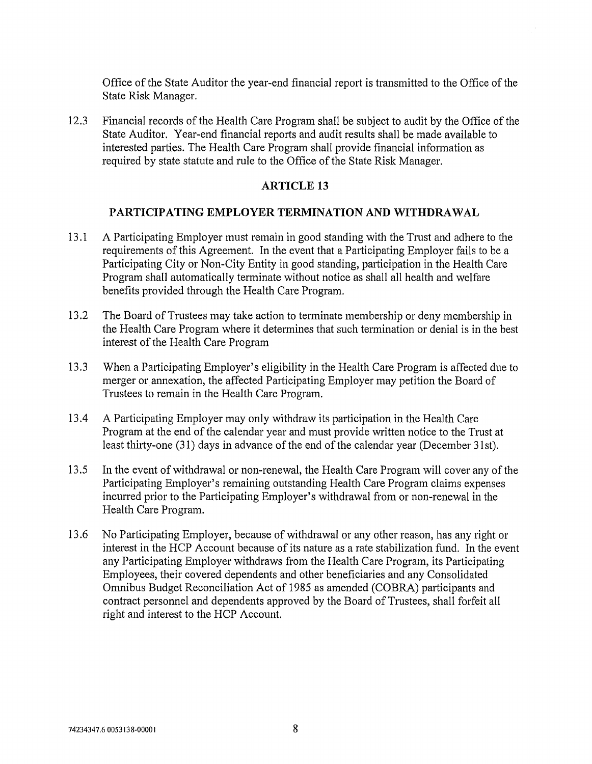Office of the State Auditor the year-end financial report is transmitted to the Office of the State Risk Manager.

12.3 Financial records of the Health Care Program shall be subject to audit by the Office of the State Auditor. Year-end financial reports and audit results shall be made available to interested parties. The Health Care Program shall provide financial information as required by state statute and rule to the Office of the State Risk Manager.

# **ARTICLE 13**

# **PARTICIPATING EMPLOYER TERMINATION AND WITHDRAWAL**

- 13.1 A Participating Employer must remain in good standing with the Trust and adhere to the requirements of this Agreement. In the event that a Participating Employer fails to be a Participating City or Non-City Entity in good standing, participation in the Health Care Program shall automatically terminate without notice as shall all health and welfare benefits provided through the Health Care Program.
- 13 .2 The Board of Trustees may take action to terminate membership or deny membership in the Health Care Program where it determines that such termination or denial is in the best interest of the Health Care Program
- 13.3 When a Participating Employer's eligibility in the Health Care Program is affected due to merger or annexation, the affected Participating Employer may petition the Board of Trustees to remain in the Health Care Program.
- 13 .4 A Participating Employer may only withdraw its participation in the Health Care Program at the end of the calendar year and must provide written notice to the Trust at least thirty-one (31) days in advance of the end of the calendar year (December 31st).
- 13.5 In the event of withdrawal or non-renewal, the Health Care Program will cover any of the Participating Employer's remaining outstanding Health Care Program claims expenses incurred prior to the Participating Employer's withdrawal from or non-renewal in the Health Care Program.
- 13.6 No Participating Employer, because of withdrawal or any other reason, has any right or interest in the HCP Account because of its nature as a rate stabilization fund. In the event any Patticipating Employer withdraws from the Health Care Program, its Participating Employees, their covered dependents and other beneficiaries and any Consolidated Omnibus Budget Reconciliation Act of 1985 as amended (COBRA) participants and contract personnel and dependents approved by the Board of Trustees, shall forfeit all right and interest to the HCP Account.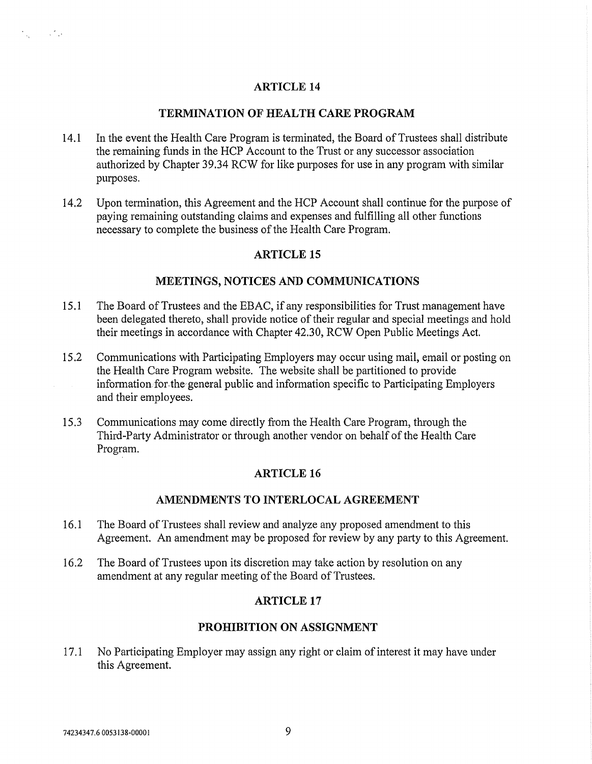### **TERMINATION OF HEALTH CARE PROGRAM**

- 14.1 In the event the Health Care Program is terminated, the Board of Trustees shall distribute the remaining funds in the HCP Account to the Trust or any successor association authorized by Chapter 39.34 RCW for like purposes for use in any program with similar purposes.
- 14.2 Upon termination, this Agreement and the HCP Account shall continue for the purpose of paying remaining outstanding claims and expenses and fulfilling all other functions necessary to complete the business of the Health Care Program.

## **ARTICLE 15**

### **MEETINGS, NOTICES AND COMMUNICATIONS**

- 15 .1 The Board of Trustees and the EBAC, if any responsibilities for Trust management have been delegated thereto, shall provide notice of their regular and special meetings and hold their meetings in accordance with Chapter 42.30, RCW Open Public Meetings Act.
- 15 .2 Communications with Participating Employers may occur using mail, email or posting on the Health Care Program website. The website shall be partitioned to provide information for the general public and information specific to Participating Employers and their employees.
- 15.3 Communications may come directly from the Health Care Program, through the Third-Party Administrator or through another vendor on behalf of the Health Care Program.

## **ARTICLE 16**

#### **AMENDMENTSTOINTERLOCALAGREEMENT**

- 16.1 The Board of Trustees shall review and analyze any proposed amendment to this Agreement. An amendment may be proposed for review by any party to this Agreement.
- 16.2 The Board of Trustees upon its discretion may take action by resolution on any amendment at any regular meeting of the Board of Trustees.

## **ARTICLE 17**

#### **PROHIBITION ON ASSIGNMENT**

17.1 No Participating Employer may assign any right or claim of interest it may have under this Agreement.

 $\mathcal{F}_{\mathcal{A}_1}$  , and  $\mathcal{F}_{\mathcal{A}}$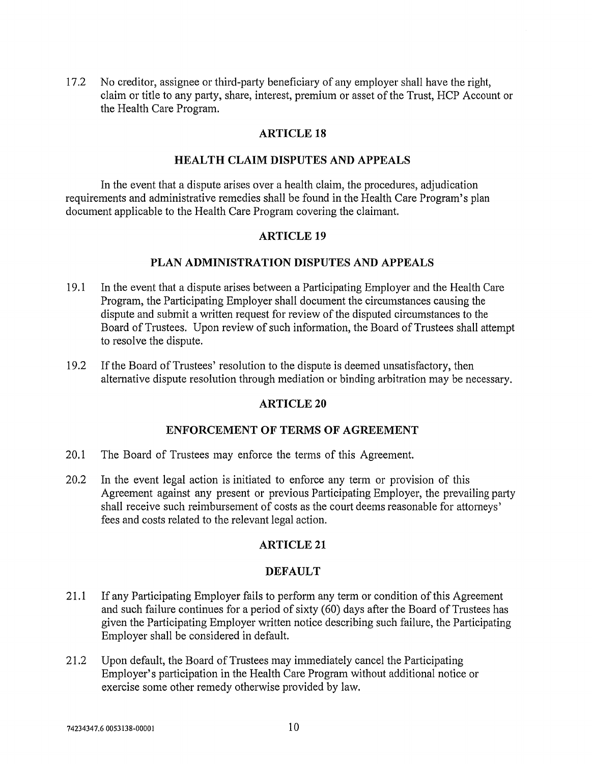17.2 No creditor, assignee or third-party beneficiary of any employer shall have the right, claim or title to any party, share, interest, premium or asset of the Trust, HCP Account or the Health Care Program.

## **ARTICLE 18**

### **HEALTH CLAIM DISPUTES AND APPEALS**

In the event that a dispute arises over a health claim, the procedures, adjudication requirements and administrative remedies shall be found in the Health Care Program's plan document applicable to the Health Care Program covering the claimant.

### **ARTICLE 19**

### **PLAN ADMINISTRATION DISPUTES AND APPEALS**

- 19.1 In the event that a dispute arises between a Participating Employer and the Health Care Program, the Participating Employer shall document the circumstances causing the dispute and submit a written request for review of the disputed circumstances to the Board of Trustees. Upon review of such information, the Board of Trustees shall attempt to resolve the dispute.
- 19.2 If the Board of Trustees' resolution to the dispute is deemed unsatisfactory, then alternative dispute resolution through mediation or binding arbitration may be necessary.

### **ARTICLE20**

### **ENFORCEMENT OF TERMS OF AGREEMENT**

- 20.1 The Board of Trustees may enforce the terms of this Agreement.
- 20.2 In the event legal action is initiated to enforce any term or provision of this Agreement against any present or previous Participating Employer, the prevailing party shall receive such reimbursement of costs as the court deems reasonable for attorneys' fees and costs related to the relevant legal action.

## **ARTICLE 21**

#### **DEFAULT**

- 21.1 If any Participating Employer fails to perform any term or condition of this Agreement and such failure continues for a period of sixty (60) days after the Board of Trustees has given the Participating Employer written notice describing such failure, the Participating Employer shall be considered in default.
- 21.2 Upon default, the Board of Trustees may immediately cancel the Participating Employer's participation in the Health Care Program without additional notice or exercise some other remedy otherwise provided by law.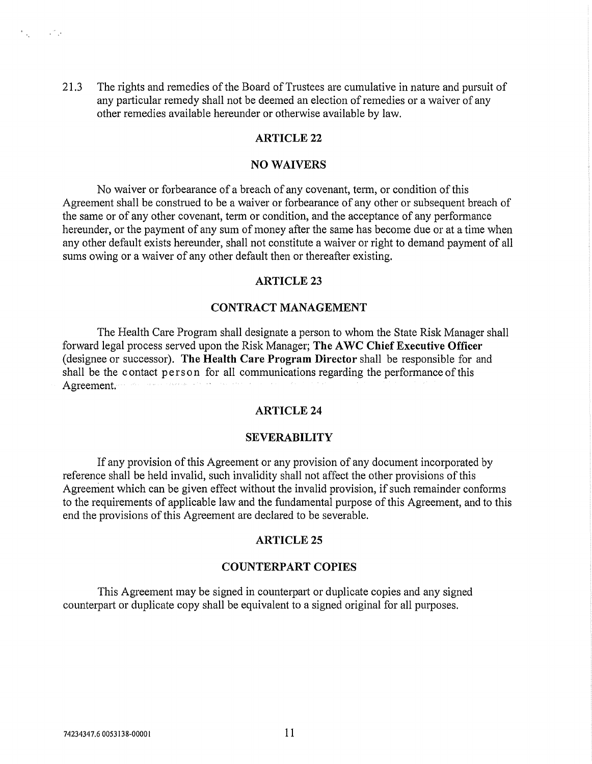21.3 The rights and remedies of the Board of Trustees are cumulative in nature and pursuit of any particular remedy shall not be deemed an election of remedies or a waiver of any other remedies available hereunder or otherwise available by law.

#### **ARTICLE22**

#### **NO WAIVERS**

No waiver or forbearance of a breach of any covenant, term, or condition of this Agreement shall be construed to be a waiver or forbearance of any other or subsequent breach of the same or of any other covenant, term or condition, and the acceptance of any performance hereunder, or the payment of any sum of money after the same has become due or at a time when any other default exists hereunder, shall not constitute a waiver or right to demand payment of all sums owing or a waiver of any other default then or thereafter existing.

#### **ARTICLE 23**

### **CONTRACT MANAGEMENT**

The Health Care Program shall designate a person to whom the State Risk Manager shall forward legal process served upon the Risk Manager; **The A WC Chief Executive Officer**  (designee or successor). **The Health Care Program Director** shall be responsible for and shall be the contact person for all communications regarding the performance of this Agreement.

## **ARTICLE24**

### **SEVERABILITY**

If any provision of this Agreement or any provision of any document incorporated by reference shall be held invalid, such invalidity shall not affect the other provisions of this Agreement which can be given effect without the invalid provision, if such remainder conforms to the requirements of applicable law and the fundamental purpose of this Agreement, and to this end the provisions of this Agreement are declared to be severable.

#### **ARTICLE25**

#### **COUNTERPART COPIES**

This Agreement may be signed in counterpart or duplicate copies and any signed counterpart or duplicate copy shall be equivalent to a signed original for all purposes.

 $\mathcal{O}(\mathcal{E}_\mathbf{r})$  . The  $\mathcal{O}(\mathcal{E}_\mathbf{r})$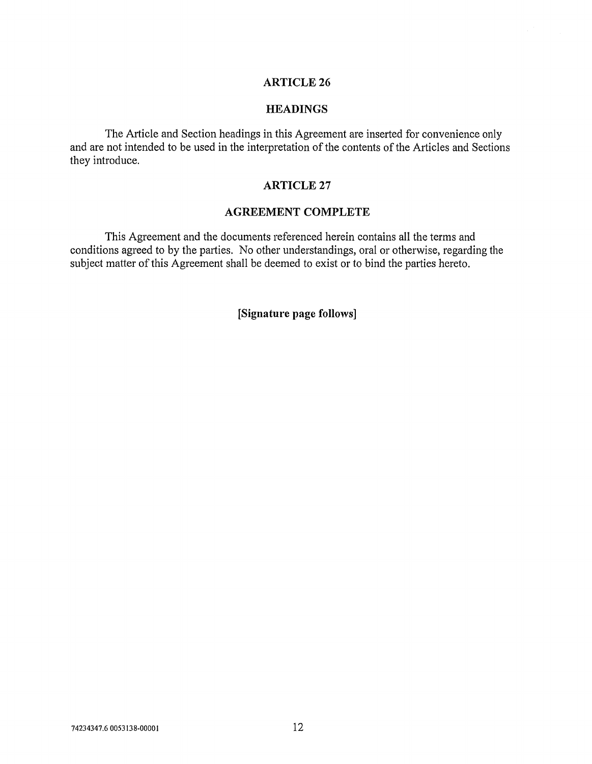### **HEADINGS**

The Article and Section headings in this Agreement are inserted for convenience only and are not intended to be used in the interpretation of the contents of the Articles and Sections they introduce.

# **ARTICLE27**

## **AGREEMENT COMPLETE**

This Agreement and the documents referenced herein contains all the terms and conditions agreed to by the parties. No other understandings, oral or otherwise, regarding the subject matter of this Agreement shall be deemed to exist or to bind the parties hereto.

**[Signature page follows]**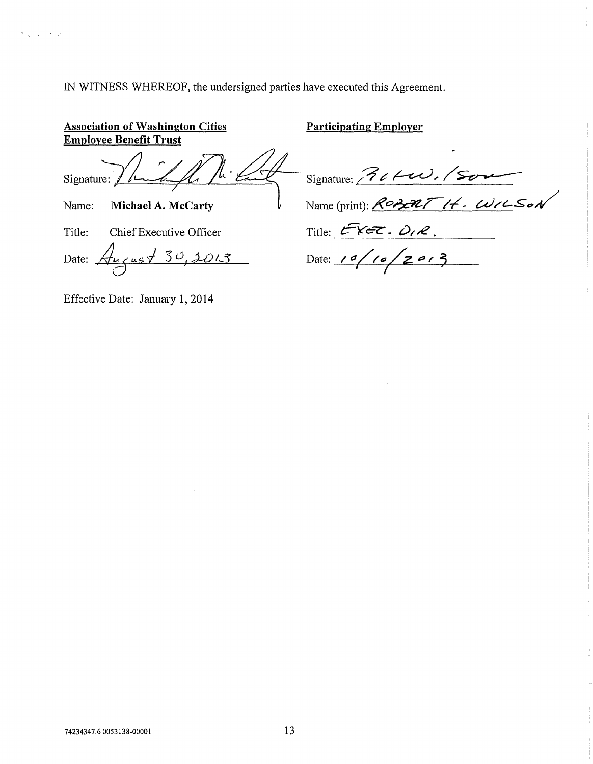IN WITNESS WHEREOF, the undersigned parties have executed this Agreement.

**Association of Washington Cities Employee Benefit Trust** Signature: Michael A. McCarty Name: Title: Chief Executive Officer

Date:  $\pi u \leq u \leq \pi/30.3013$ 

**Participating Employer** 

Signature: <u>Retu, Son</u>

Name (print): ROBERT 14. WILSON Title:  $E$  $K$  $E$  $K$  $E$ .  $\partial_{\ell}$  $R$ .

Date:  $10/16/2013$ 

Effective Date: January 1, 2014

Kalimana ka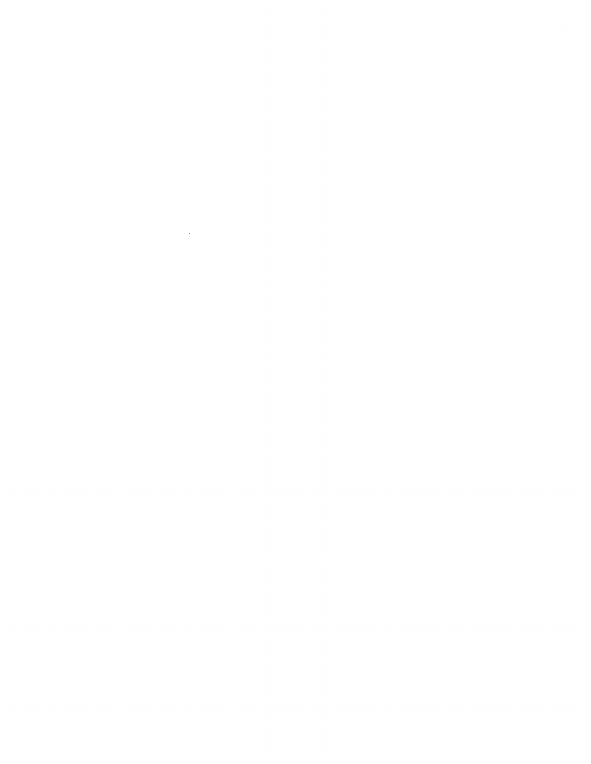$\label{eq:2.1} \frac{1}{\sqrt{2}}\int_{\mathbb{R}^3}\frac{1}{\sqrt{2}}\left(\frac{1}{\sqrt{2}}\right)^2\frac{1}{\sqrt{2}}\left(\frac{1}{\sqrt{2}}\right)^2\frac{1}{\sqrt{2}}\left(\frac{1}{\sqrt{2}}\right)^2\frac{1}{\sqrt{2}}\left(\frac{1}{\sqrt{2}}\right)^2.$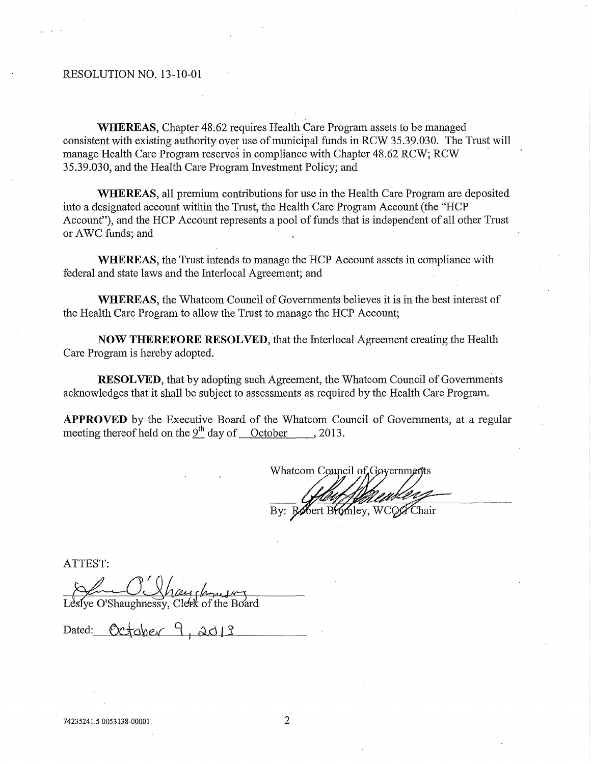#### RESOLUTION NO. 13-10-01

**WHEREAS,** Chapter 48.62 requires Health Care Program assets to be managed consistent with existing authority over use of municipal funds in RCW 35.39.030. The Trust will manage Health Care Program reserves in compliance with Chapter 48.62 RCW; RCW 35.39.030, and the Health Care Program Investment Policy; and

**WHEREAS,** all premium contributions for use in the Health Care Program are deposited into a designated account within the Trust, the Health Care Program Account (the "HCP Account"), and the HCP Account represents a pool of funds that is independent of all other Trust or AWC funds; and

**WHEREAS,** the Trust intends to manage the HCP Account assets in compliance with federal and state laws and the Interlocal Agreement; and

**WHEREAS,** the Whatcom Council of Governments believes it is in the best interest of the Health Care Program to allow the Trust to manage the HCP Account;

**NOW THEREFORE RESOLVED,** that the Interlocal Agreement creating the Health Care Program is hereby adopted.

**RESOLVED,** that by adopting such Agreement, the Whatcom Council of Governments acknowledges that it shall be subject to assessments as required by the Health Care Program.

**APPROVED** by the Executive Board of the Whatcom Council of Governments, at a regular meeting thereof held on the  $9<sup>th</sup>$  day of October , 2013.

Whatcom Council of Governments By: Bobert Browley, WCQS Chair

ATTEST:

Leslye O'Shaughnessy, Clerk of

Dated: October 9, 2013